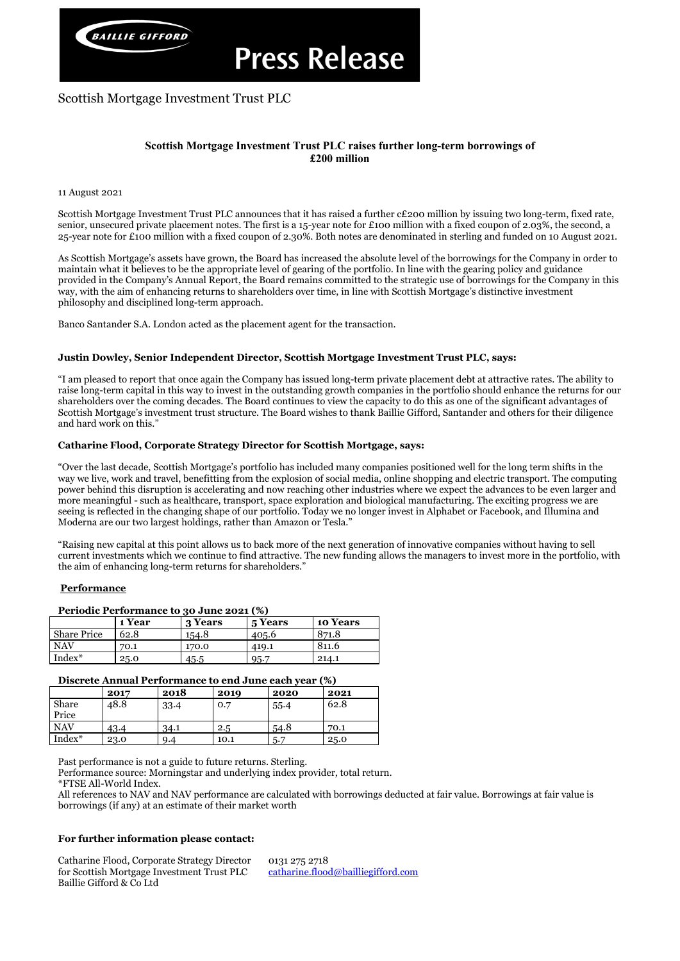

# Scottish Mortgage Investment Trust PLC

# **Scottish Mortgage Investment Trust PLC raises further long-term borrowings of £200 million**

## 11 August 2021

Scottish Mortgage Investment Trust PLC announces that it has raised a further c£200 million by issuing two long-term, fixed rate, senior, unsecured private placement notes. The first is a 15-year note for £100 million with a fixed coupon of 2.03%, the second, a 25-year note for £100 million with a fixed coupon of 2.30%. Both notes are denominated in sterling and funded on 10 August 2021.

As Scottish Mortgage's assets have grown, the Board has increased the absolute level of the borrowings for the Company in order to maintain what it believes to be the appropriate level of gearing of the portfolio. In line with the gearing policy and guidance provided in the Company's Annual Report, the Board remains committed to the strategic use of borrowings for the Company in this way, with the aim of enhancing returns to shareholders over time, in line with Scottish Mortgage's distinctive investment philosophy and disciplined long-term approach.

Banco Santander S.A. London acted as the placement agent for the transaction.

## **Justin Dowley, Senior Independent Director, Scottish Mortgage Investment Trust PLC, says:**

# **1 Year 3 Years 5 Years 10 Years** Share Price 62.8 154.8 405.6 871.8 NAV | 70.1 | 170.0 | 419.1 | 811.6  $Index^*$  25.0 45.5 95.7 214.1

"I am pleased to report that once again the Company has issued long-term private placement debt at attractive rates. The ability to raise long-term capital in this way to invest in the outstanding growth companies in the portfolio should enhance the returns for our shareholders over the coming decades. The Board continues to view the capacity to do this as one of the significant advantages of Scottish Mortgage's investment trust structure. The Board wishes to thank Baillie Gifford, Santander and others for their diligence and hard work on this."

## **Catharine Flood, Corporate Strategy Director for Scottish Mortgage, says:**

"Over the last decade, Scottish Mortgage's portfolio has included many companies positioned well for the long term shifts in the way we live, work and travel, benefitting from the explosion of social media, online shopping and electric transport. The computing power behind this disruption is accelerating and now reaching other industries where we expect the advances to be even larger and more meaningful - such as healthcare, transport, space exploration and biological manufacturing. The exciting progress we are seeing is reflected in the changing shape of our portfolio. Today we no longer invest in Alphabet or Facebook, and Illumina and Moderna are our two largest holdings, rather than Amazon or Tesla."

"Raising new capital at this point allows us to back more of the next generation of innovative companies without having to sell current investments which we continue to find attractive. The new funding allows the managers to invest more in the portfolio, with the aim of enhancing long-term returns for shareholders."

## **Performance**

## **Periodic Performance to 30 June 2021 (%)**

## **Discrete Annual Performance to end June each year (%)**

|                | 2017 | 2018 | 2019 | 2020 | 2021 |
|----------------|------|------|------|------|------|
| Share<br>Price | 48.8 | 33.4 | 0.7  | 55.4 | 62.8 |
| <b>NAV</b>     | 43.4 | 34.1 | 2.5  | 54.8 | 70.1 |
| Index*         | 23.0 | 9.4  | 10.1 | 5.7  | 25.0 |

Past performance is not a guide to future returns. Sterling.

Performance source: Morningstar and underlying index provider, total return.

\*FTSE All-World Index.

All references to NAV and NAV performance are calculated with borrowings deducted at fair value. Borrowings at fair value is borrowings (if any) at an estimate of their market worth

# **For further information please contact:**

Catharine Flood, Corporate Strategy Director for Scottish Mortgage Investment Trust PLC Baillie Gifford & Co Ltd

0131 275 2718 [catharine.flood@bailliegifford.com](mailto:catharine.flood@bailliegifford.com)